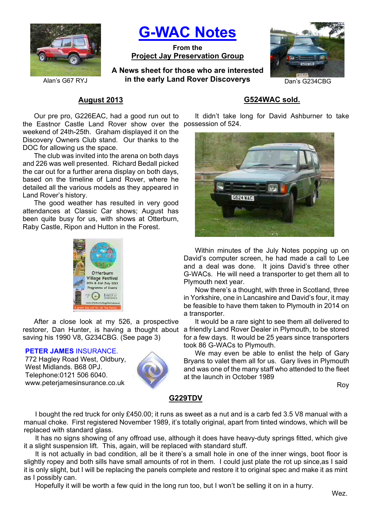

**G-WAC Notes**

**From the Project Jay Preservation Group**

**A News sheet for those who are interested**  Alan's G67 RYJ **in the early Land Rover Discoverys** Dan's G234CBG



# **August 2013**

the Eastnor Castle Land Rover show over the possession of 524. Our pre pro, G226EAC, had a good run out to weekend of 24th-25th. Graham displayed it on the Discovery Owners Club stand. Our thanks to the DOC for allowing us the space.

The club was invited into the arena on both days and 226 was well presented. Richard Bedall picked the car out for a further arena display on both days, based on the timeline of Land Rover, where he detailed all the various models as they appeared in Land Rover's history.

The good weather has resulted in very good attendances at Classic Car shows; August has been quite busy for us, with shows at Otterburn, Raby Castle, Ripon and Hutton in the Forest.



After a close look at my 526, a prospective saving his 1990 V8, G234CBG. (See page 3)

#### **PETER JAMES** INSURANCE.

772 Hagley Road West, Oldbury, West Midlands. B68 0PJ. Telephone:0121 506 6040. www.peterjamesinsurance.co.uk



## **G524WAC sold.**

It didn't take long for David Ashburner to take



Within minutes of the July Notes popping up on David's computer screen, he had made a call to Lee and a deal was done. It joins David's three other G-WACs. He will need a transporter to get them all to Plymouth next year.

Now there's a thought, with three in Scotland, three in Yorkshire, one in Lancashire and David's four, it may be feasible to have them taken to Plymouth in 2014 on a transporter.

It would be a rare sight to see them all delivered to restorer, Dan Hunter, is having a thought about a friendly Land Rover Dealer in Plymouth, to be stored for a few days. It would be 25 years since transporters took 86 G-WACs to Plymouth.

We may even be able to enlist the help of Gary Bryans to valet them all for us. Gary lives in Plymouth and was one of the many staff who attended to the fleet at the launch in October 1989

Roy

### **G229TDV**

I bought the red truck for only £450.00; it runs as sweet as a nut and is a carb fed 3.5 V8 manual with a manual choke. First registered November 1989, it's totally original, apart from tinted windows, which will be replaced with standard glass.

It has no signs showing of any offroad use, although it does have heavy-duty springs fitted, which give it a slight suspension lift. This, again, will be replaced with standard stuff.

It is not actually in bad condition, all be it there's a small hole in one of the inner wings, boot floor is slightly ropey and both sills have small amounts of rot in them. I could just plate the rot up since,as I said it is only slight, but I will be replacing the panels complete and restore it to original spec and make it as mint as I possibly can.

Hopefully it will be worth a few quid in the long run too, but I won't be selling it on in a hurry.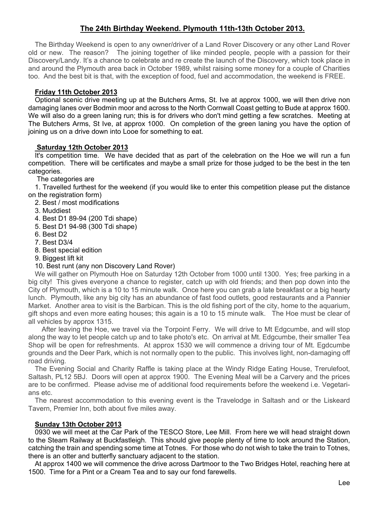# **The 24th Birthday Weekend. Plymouth 11th-13th October 2013.**

The Birthday Weekend is open to any owner/driver of a Land Rover Discovery or any other Land Rover old or new. The reason? The joining together of like minded people, people with a passion for their Discovery/Landy. It's a chance to celebrate and re create the launch of the Discovery, which took place in and around the Plymouth area back in October 1989, whilst raising some money for a couple of Charities too. And the best bit is that, with the exception of food, fuel and accommodation, the weekend is FREE.

### **Friday 11th October 2013**

Optional scenic drive meeting up at the Butchers Arms, St. Ive at approx 1000, we will then drive non damaging lanes over Bodmin moor and across to the North Cornwall Coast getting to Bude at approx 1600. We will also do a green laning run; this is for drivers who don't mind getting a few scratches. Meeting at The Butchers Arms, St Ive, at approx 1000. On completion of the green laning you have the option of joining us on a drive down into Looe for something to eat.

#### **Saturday 12th October 2013**

It's competition time. We have decided that as part of the celebration on the Hoe we will run a fun competition. There will be certificates and maybe a small prize for those judged to be the best in the ten categories.

The categories are

1. Travelled furthest for the weekend (if you would like to enter this competition please put the distance on the registration form)

- 2. Best / most modifications
- 3. Muddiest
- 4. Best D1 89-94 (200 Tdi shape)
- 5. Best D1 94-98 (300 Tdi shape)
- 6. Best D2
- 7. Best D3/4
- 8. Best special edition
- 9. Biggest lift kit
- 10. Best runt (any non Discovery Land Rover)

We will gather on Plymouth Hoe on Saturday 12th October from 1000 until 1300. Yes; free parking in a big city! This gives everyone a chance to register, catch up with old friends; and then pop down into the City of Plymouth, which is a 10 to 15 minute walk. Once here you can grab a late breakfast or a big hearty lunch. Plymouth, like any big city has an abundance of fast food outlets, good restaurants and a Pannier Market. Another area to visit is the Barbican. This is the old fishing port of the city, home to the aquarium, gift shops and even more eating houses; this again is a 10 to 15 minute walk. The Hoe must be clear of all vehicles by approx 1315.

 After leaving the Hoe, we travel via the Torpoint Ferry. We will drive to Mt Edgcumbe, and will stop along the way to let people catch up and to take photo's etc. On arrival at Mt. Edgcumbe, their smaller Tea Shop will be open for refreshments. At approx 1530 we will commence a driving tour of Mt. Egdcumbe grounds and the Deer Park, which is not normally open to the public. This involves light, non-damaging off road driving.

The Evening Social and Charity Raffle is taking place at the Windy Ridge Eating House, Trerulefoot, Saltash, PL12 5BJ. Doors will open at approx 1900. The Evening Meal will be a Carvery and the prices are to be confirmed. Please advise me of additional food requirements before the weekend i.e. Vegetarians etc.

The nearest accommodation to this evening event is the Travelodge in Saltash and or the Liskeard Tavern, Premier Inn, both about five miles away.

### **Sunday 13th October 2013**

0930 we will meet at the Car Park of the TESCO Store, Lee Mill. From here we will head straight down to the Steam Railway at Buckfastleigh. This should give people plenty of time to look around the Station, catching the train and spending some time at Totnes. For those who do not wish to take the train to Totnes, there is an otter and butterfly sanctuary adjacent to the station.

At approx 1400 we will commence the drive across Dartmoor to the Two Bridges Hotel, reaching here at 1500. Time for a Pint or a Cream Tea and to say our fond farewells.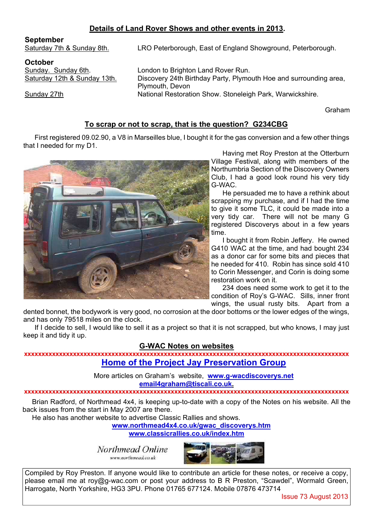# **Details of Land Rover Shows and other events in 2013.**

### **September**

Saturday 7th & Sunday 8th. LRO Peterborough, East of England Showground, Peterborough.

**October** 

Sunday. Sunday 6th. Condon to Brighton Land Rover Run. Saturday 12th & Sunday 13th. Discovery 24th Birthday Party, Plymouth Hoe and surrounding area, Plymouth, Devon Sunday 27th National Restoration Show. Stoneleigh Park, Warwickshire.

Graham

# **To scrap or not to scrap, that is the question? G234CBG**

First registered 09.02.90, a V8 in Marseilles blue, I bought it for the gas conversion and a few other things that I needed for my D1.



Having met Roy Preston at the Otterburn Village Festival, along with members of the Northumbria Section of the Discovery Owners Club, I had a good look round his very tidy G-WAC.

He persuaded me to have a rethink about scrapping my purchase, and if I had the time to give it some TLC, it could be made into a very tidy car. There will not be many G registered Discoverys about in a few years time.

I bought it from Robin Jeffery. He owned G410 WAC at the time, and had bought 234 as a donor car for some bits and pieces that he needed for 410. Robin has since sold 410 to Corin Messenger, and Corin is doing some restoration work on it.

234 does need some work to get it to the condition of Roy's G-WAC. Sills, inner front wings, the usual rusty bits. Apart from a

dented bonnet, the bodywork is very good, no corrosion at the door bottoms or the lower edges of the wings, and has only 79518 miles on the clock.

If I decide to sell, I would like to sell it as a project so that it is not scrapped, but who knows, I may just keep it and tidy it up.

### **G-WAC Notes on websites**

**xxxxxxxxxxxxxxxxxxxxxxxxxxxxxxxxxxxxxxxxxxxxxxxxxxxxxxxxxxxxxxxxxxxxxxxxxxxxxxxxxxxxxxxxxxxxx Home of the Project Jay Preservation Group**

> More articles on Graham's website, **www.g-wacdiscoverys.net email4graham@tiscali.co.uk.**

#### **xxxxxxxxxxxxxxxxxxxxxxxxxxxxxxxxxxxxxxxxxxxxxxxxxxxxxxxxxxxxxxxxxxxxxxxxxxxxxxxxxxxxxxxxxxxxx**

Brian Radford, of Northmead 4x4, is keeping up-to-date with a copy of the Notes on his website. All the back issues from the start in May 2007 are there.

He also has another website to advertise Classic Rallies and shows.

**www.northmead4x4.co.uk/gwac\_discoverys.htm**

**www.classicrallies.co.uk/index.htm**

Northmead Online www.northmead.co.uk



Compiled by Roy Preston. If anyone would like to contribute an article for these notes, or receive a copy, please email me at roy@g-wac.com or post your address to B R Preston, "Scawdel", Wormald Green, Harrogate, North Yorkshire, HG3 3PU. Phone 01765 677124. Mobile 07876 473714

Issue 73 August 2013